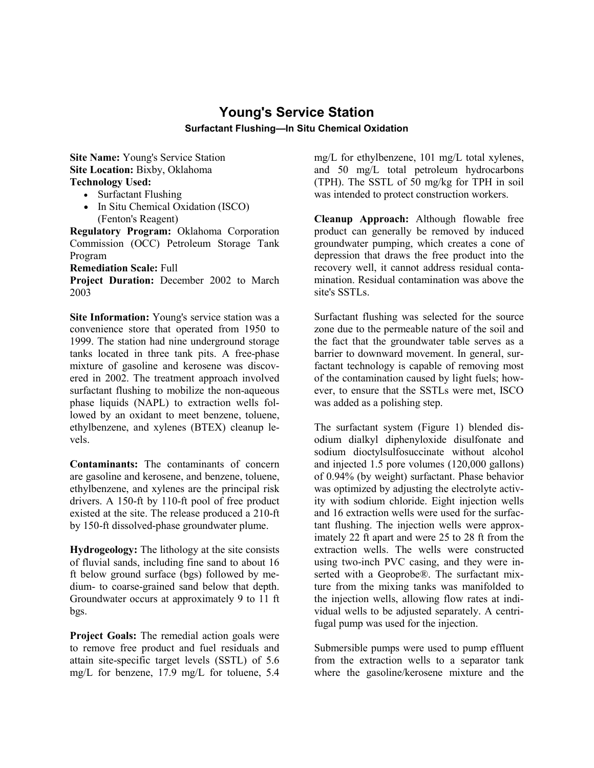## **Young's Service Station Surfactant Flushing—In Situ Chemical Oxidation**

**Site Name:** Young's Service Station **Site Location: Bixby, Oklahoma Technology Used:**

- Surfactant Flushing
- In Situ Chemical Oxidation (ISCO) (Fenton's Reagent)

**Regulatory Program:** Oklahoma Corporation Commission (OCC) Petroleum Storage Tank Program

**Remediation Scale:** Full

**Project Duration:** December 2002 to March 2003

**Site Information:** Young's service station was a convenience store that operated from 1950 to 1999. The station had nine underground storage tanks located in three tank pits. A free-phase mixture of gasoline and kerosene was discovered in 2002. The treatment approach involved surfactant flushing to mobilize the non-aqueous phase liquids (NAPL) to extraction wells followed by an oxidant to meet benzene, toluene, ethylbenzene, and xylenes (BTEX) cleanup levels.

**Contaminants:** The contaminants of concern are gasoline and kerosene, and benzene, toluene, ethylbenzene, and xylenes are the principal risk drivers. A 150-ft by 110-ft pool of free product existed at the site. The release produced a 210-ft by 150-ft dissolved-phase groundwater plume.

**Hydrogeology:** The lithology at the site consists of fluvial sands, including fine sand to about 16 ft below ground surface (bgs) followed by medium- to coarse-grained sand below that depth. Groundwater occurs at approximately 9 to 11 ft bgs.

**Project Goals:** The remedial action goals were to remove free product and fuel residuals and attain site-specific target levels (SSTL) of 5.6 mg/L for benzene, 17.9 mg/L for toluene, 5.4 mg/L for ethylbenzene, 101 mg/L total xylenes, and 50 mg/L total petroleum hydrocarbons (TPH). The SSTL of 50 mg/kg for TPH in soil was intended to protect construction workers.

**Cleanup Approach:** Although flowable free product can generally be removed by induced groundwater pumping, which creates a cone of depression that draws the free product into the recovery well, it cannot address residual contamination. Residual contamination was above the site's SSTLs.

Surfactant flushing was selected for the source zone due to the permeable nature of the soil and the fact that the groundwater table serves as a barrier to downward movement. In general, surfactant technology is capable of removing most of the contamination caused by light fuels; however, to ensure that the SSTLs were met, ISCO was added as a polishing step.

The surfactant system (Figure 1) blended disodium dialkyl diphenyloxide disulfonate and sodium dioctylsulfosuccinate without alcohol and injected 1.5 pore volumes (120,000 gallons) of 0.94% (by weight) surfactant. Phase behavior was optimized by adjusting the electrolyte activity with sodium chloride. Eight injection wells and 16 extraction wells were used for the surfactant flushing. The injection wells were approximately 22 ft apart and were 25 to 28 ft from the extraction wells. The wells were constructed using two-inch PVC casing, and they were inserted with a Geoprobe®. The surfactant mixture from the mixing tanks was manifolded to the injection wells, allowing flow rates at individual wells to be adjusted separately. A centrifugal pump was used for the injection.

Submersible pumps were used to pump effluent from the extraction wells to a separator tank where the gasoline/kerosene mixture and the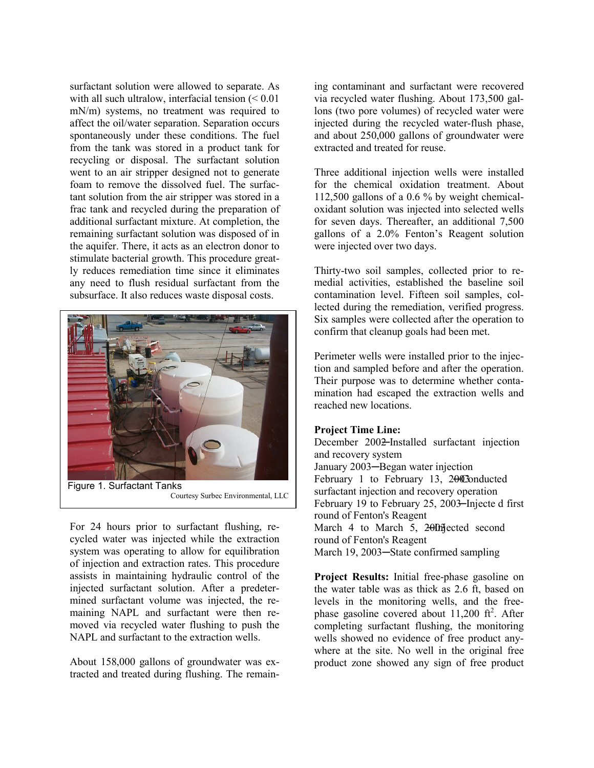surfactant solution were allowed to separate. As with all such ultralow, interfacial tension (< 0.01) mN/m) systems, no treatment was required to affect the oil/water separation. Separation occurs spontaneously under these conditions. The fuel from the tank was stored in a product tank for recycling or disposal. The surfactant solution went to an air stripper designed not to generate foam to remove the dissolved fuel. The surfactant solution from the air stripper was stored in a frac tank and recycled during the preparation of additional surfactant mixture. At completion, the remaining surfactant solution was disposed of in the aquifer. There, it acts as an electron donor to stimulate bacterial growth. This procedure greatly reduces remediation time since it eliminates any need to flush residual surfactant from the subsurface. It also reduces waste disposal costs.



For 24 hours prior to surfactant flushing, recycled water was injected while the extraction system was operating to allow for equilibration of injection and extraction rates. This procedure assists in maintaining hydraulic control of the injected surfactant solution. After a predetermined surfactant volume was injected, the remaining NAPL and surfactant were then removed via recycled water flushing to push the NAPL and surfactant to the extraction wells.

About 158,000 gallons of groundwater was extracted and treated during flushing. The remaining contaminant and surfactant were recovered via recycled water flushing. About 173,500 gallons (two pore volumes) of recycled water were injected during the recycled water-flush phase, and about 250,000 gallons of groundwater were extracted and treated for reuse.

Three additional injection wells were installed for the chemical oxidation treatment. About 112,500 gallons of a 0.6 % by weight chemicaloxidant solution was injected into selected wells for seven days. Thereafter, an additional 7,500 gallons of a 2.0% Fenton's Reagent solution were injected over two days.

Thirty-two soil samples, collected prior to remedial activities, established the baseline soil contamination level. Fifteen soil samples, collected during the remediation, verified progress. Six samples were collected after the operation to confirm that cleanup goals had been met.

Perimeter wells were installed prior to the injection and sampled before and after the operation. Their purpose was to determine whether contamination had escaped the extraction wells and reached new locations.

## **Project Time Line:**

December 200<del>2</del>-Installed surfactant injection and recovery system January 2003─Began water injection February 1 to February 13,  $2\theta$ Conducted surfactant injection and recovery operation February 19 to February 25, 2003–Injecte d first round of Fenton's Reagent March 4 to March 5, 200fijected second round of Fenton's Reagent March 19, 2003─State confirmed sampling

**Project Results:** Initial free-phase gasoline on the water table was as thick as 2.6 ft, based on levels in the monitoring wells, and the freephase gasoline covered about  $11,200$  ft<sup>2</sup>. After completing surfactant flushing, the monitoring wells showed no evidence of free product anywhere at the site. No well in the original free product zone showed any sign of free product